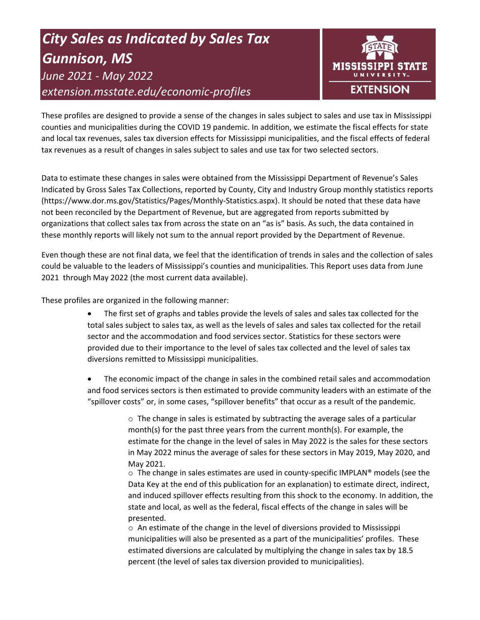# *City Sales as Indicated by Sales Tax Gunnison, MS June 2021 - May 2022 extension.msstate.edu/economic-profiles*



These profiles are designed to provide a sense of the changes in sales subject to sales and use tax in Mississippi counties and municipalities during the COVID 19 pandemic. In addition, we estimate the fiscal effects for state and local tax revenues, sales tax diversion effects for Mississippi municipalities, and the fiscal effects of federal tax revenues as a result of changes in sales subject to sales and use tax for two selected sectors.

Data to estimate these changes in sales were obtained from the Mississippi Department of Revenue's Sales Indicated by Gross Sales Tax Collections, reported by County, City and Industry Group monthly statistics reports (https://www.dor.ms.gov/Statistics/Pages/Monthly-Statistics.aspx). It should be noted that these data have not been reconciled by the Department of Revenue, but are aggregated from reports submitted by organizations that collect sales tax from across the state on an "as is" basis. As such, the data contained in these monthly reports will likely not sum to the annual report provided by the Department of Revenue.

Even though these are not final data, we feel that the identification of trends in sales and the collection of sales could be valuable to the leaders of Mississippi's counties and municipalities. This Report uses data from June 2021 through May 2022 (the most current data available).

These profiles are organized in the following manner:

- The first set of graphs and tables provide the levels of sales and sales tax collected for the total sales subject to sales tax, as well as the levels of sales and sales tax collected for the retail sector and the accommodation and food services sector. Statistics for these sectors were provided due to their importance to the level of sales tax collected and the level of sales tax diversions remitted to Mississippi municipalities.
- The economic impact of the change in sales in the combined retail sales and accommodation and food services sectors is then estimated to provide community leaders with an estimate of the "spillover costs" or, in some cases, "spillover benefits" that occur as a result of the pandemic.

 $\circ$  The change in sales is estimated by subtracting the average sales of a particular month(s) for the past three years from the current month(s). For example, the estimate for the change in the level of sales in May 2022 is the sales for these sectors in May 2022 minus the average of sales for these sectors in May 2019, May 2020, and May 2021.

 $\circ$  The change in sales estimates are used in county-specific IMPLAN® models (see the Data Key at the end of this publication for an explanation) to estimate direct, indirect, and induced spillover effects resulting from this shock to the economy. In addition, the state and local, as well as the federal, fiscal effects of the change in sales will be presented.

 $\circ$  An estimate of the change in the level of diversions provided to Mississippi municipalities will also be presented as a part of the municipalities' profiles. These estimated diversions are calculated by multiplying the change in sales tax by 18.5 percent (the level of sales tax diversion provided to municipalities).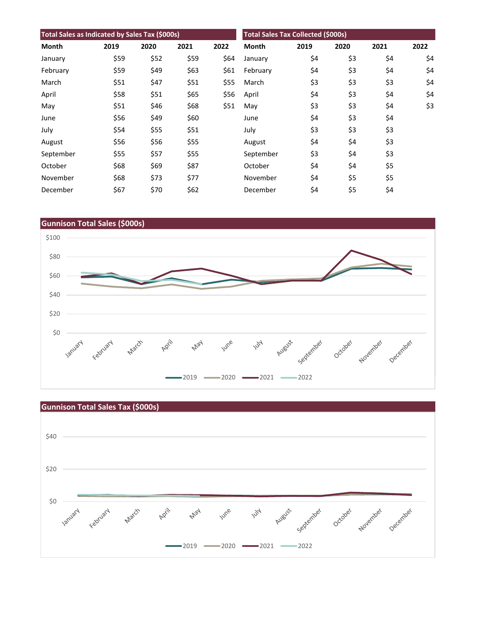| Total Sales as Indicated by Sales Tax (\$000s) |      |      |      |      | <b>Total Sales Tax Collected (\$000s)</b> |      |      |      |      |
|------------------------------------------------|------|------|------|------|-------------------------------------------|------|------|------|------|
| Month                                          | 2019 | 2020 | 2021 | 2022 | <b>Month</b>                              | 2019 | 2020 | 2021 | 2022 |
| January                                        | \$59 | \$52 | \$59 | \$64 | January                                   | \$4  | \$3  | \$4  | \$4  |
| February                                       | \$59 | \$49 | \$63 | \$61 | February                                  | \$4  | \$3  | \$4  | \$4  |
| March                                          | \$51 | \$47 | \$51 | \$55 | March                                     | \$3  | \$3  | \$3  | \$4  |
| April                                          | \$58 | \$51 | \$65 | \$56 | April                                     | \$4  | \$3  | \$4  | \$4  |
| May                                            | \$51 | \$46 | \$68 | \$51 | May                                       | \$3  | \$3  | \$4  | \$3  |
| June                                           | \$56 | \$49 | \$60 |      | June                                      | \$4  | \$3  | \$4  |      |
| July                                           | \$54 | \$55 | \$51 |      | July                                      | \$3  | \$3  | \$3  |      |
| August                                         | \$56 | \$56 | \$55 |      | August                                    | \$4  | \$4  | \$3  |      |
| September                                      | \$55 | \$57 | \$55 |      | September                                 | \$3  | \$4  | \$3  |      |
| October                                        | \$68 | \$69 | \$87 |      | October                                   | \$4  | \$4  | \$5  |      |
| November                                       | \$68 | \$73 | \$77 |      | November                                  | \$4  | \$5  | \$5  |      |
| December                                       | \$67 | \$70 | \$62 |      | December                                  | \$4  | \$5  | \$4  |      |



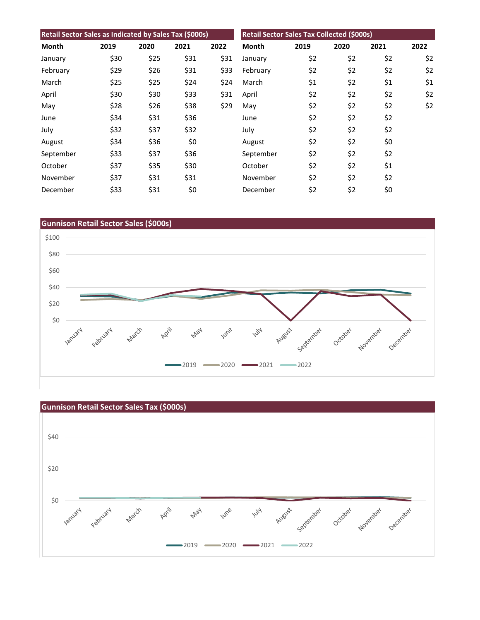| Retail Sector Sales as Indicated by Sales Tax (\$000s) |      |      |      |      | Retail Sector Sales Tax Collected (\$000s) |      |      |      |      |
|--------------------------------------------------------|------|------|------|------|--------------------------------------------|------|------|------|------|
| Month                                                  | 2019 | 2020 | 2021 | 2022 | <b>Month</b>                               | 2019 | 2020 | 2021 | 2022 |
| January                                                | \$30 | \$25 | \$31 | \$31 | January                                    | \$2  | \$2  | \$2  | \$2  |
| February                                               | \$29 | \$26 | \$31 | \$33 | February                                   | \$2  | \$2  | \$2  | \$2  |
| March                                                  | \$25 | \$25 | \$24 | \$24 | March                                      | \$1  | \$2  | \$1  | \$1  |
| April                                                  | \$30 | \$30 | \$33 | \$31 | April                                      | \$2  | \$2  | \$2  | \$2  |
| May                                                    | \$28 | \$26 | \$38 | \$29 | May                                        | \$2  | \$2  | \$2  | \$2  |
| June                                                   | \$34 | \$31 | \$36 |      | June                                       | \$2  | \$2  | \$2  |      |
| July                                                   | \$32 | \$37 | \$32 |      | July                                       | \$2  | \$2  | \$2  |      |
| August                                                 | \$34 | \$36 | \$0  |      | August                                     | \$2  | \$2  | \$0  |      |
| September                                              | \$33 | \$37 | \$36 |      | September                                  | \$2  | \$2  | \$2  |      |
| October                                                | \$37 | \$35 | \$30 |      | October                                    | \$2  | \$2  | \$1  |      |
| November                                               | \$37 | \$31 | \$31 |      | November                                   | \$2  | \$2  | \$2  |      |
| December                                               | \$33 | \$31 | \$0  |      | December                                   | \$2  | \$2  | \$0  |      |



![](_page_2_Figure_2.jpeg)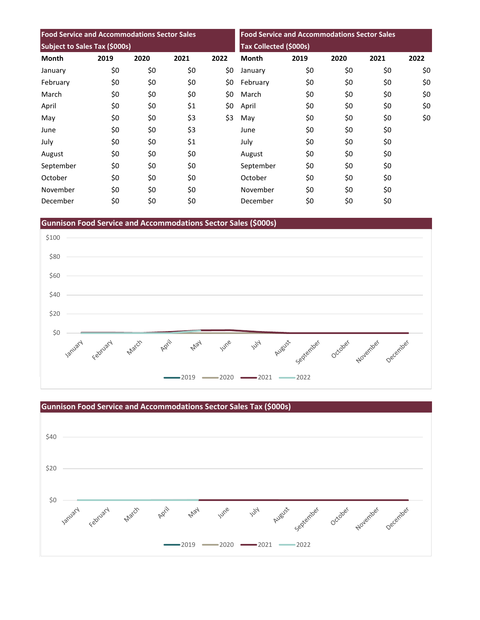| <b>Food Service and Accommodations Sector Sales</b><br>Subject to Sales Tax (\$000s) |     |     |     |     | <b>Food Service and Accommodations Sector Sales</b><br><b>Tax Collected (\$000s)</b> |     |     |     |     |
|--------------------------------------------------------------------------------------|-----|-----|-----|-----|--------------------------------------------------------------------------------------|-----|-----|-----|-----|
|                                                                                      |     |     |     |     |                                                                                      |     |     |     |     |
| January                                                                              | \$0 | \$0 | \$0 | \$0 | January                                                                              | \$0 | \$0 | \$0 | \$0 |
| February                                                                             | \$0 | \$0 | \$0 | \$0 | February                                                                             | \$0 | \$0 | \$0 | \$0 |
| March                                                                                | \$0 | \$0 | \$0 | \$0 | March                                                                                | \$0 | \$0 | \$0 | \$0 |
| April                                                                                | \$0 | \$0 | \$1 | \$0 | April                                                                                | \$0 | \$0 | \$0 | \$0 |
| May                                                                                  | \$0 | \$0 | \$3 | \$3 | May                                                                                  | \$0 | \$0 | \$0 | \$0 |
| June                                                                                 | \$0 | \$0 | \$3 |     | June                                                                                 | \$0 | \$0 | \$0 |     |
| July                                                                                 | \$0 | \$0 | \$1 |     | July                                                                                 | \$0 | \$0 | \$0 |     |
| August                                                                               | \$0 | \$0 | \$0 |     | August                                                                               | \$0 | \$0 | \$0 |     |
| September                                                                            | \$0 | \$0 | \$0 |     | September                                                                            | \$0 | \$0 | \$0 |     |
| October                                                                              | \$0 | \$0 | \$0 |     | October                                                                              | \$0 | \$0 | \$0 |     |
| November                                                                             | \$0 | \$0 | \$0 |     | November                                                                             | \$0 | \$0 | \$0 |     |
| December                                                                             | \$0 | \$0 | \$0 |     | December                                                                             | \$0 | \$0 | \$0 |     |

**Gunnison Food Service and Accommodations Sector Sales (\$000s)**

![](_page_3_Figure_2.jpeg)

![](_page_3_Figure_3.jpeg)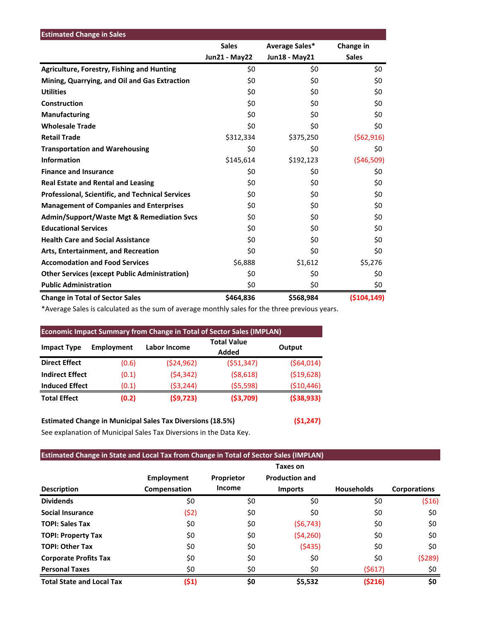| <b>Estimated Change in Sales</b>                        |                      |                |              |
|---------------------------------------------------------|----------------------|----------------|--------------|
|                                                         | <b>Sales</b>         | Average Sales* | Change in    |
|                                                         | <b>Jun21 - May22</b> | Jun18 - May21  | <b>Sales</b> |
| <b>Agriculture, Forestry, Fishing and Hunting</b>       | \$0                  | \$0            | \$0          |
| Mining, Quarrying, and Oil and Gas Extraction           | \$0                  | \$0            | \$0          |
| <b>Utilities</b>                                        | \$0                  | \$0            | \$0          |
| Construction                                            | \$0                  | \$0            | \$0          |
| <b>Manufacturing</b>                                    | \$0                  | \$0            | \$0          |
| <b>Wholesale Trade</b>                                  | \$0                  | \$0            | \$0          |
| <b>Retail Trade</b>                                     | \$312,334            | \$375,250      | (562,916)    |
| <b>Transportation and Warehousing</b>                   | \$0                  | \$0            | \$0          |
| <b>Information</b>                                      | \$145,614            | \$192,123      | ( \$46,509)  |
| <b>Finance and Insurance</b>                            | \$0                  | \$0            | \$0          |
| <b>Real Estate and Rental and Leasing</b>               | \$0                  | \$0            | \$0          |
| <b>Professional, Scientific, and Technical Services</b> | \$0                  | \$0            | \$0          |
| <b>Management of Companies and Enterprises</b>          | \$0                  | \$0            | \$0          |
| <b>Admin/Support/Waste Mgt &amp; Remediation Svcs</b>   | \$0                  | \$0            | \$0          |
| <b>Educational Services</b>                             | \$0                  | \$0            | \$0          |
| <b>Health Care and Social Assistance</b>                | \$0                  | \$0            | \$0          |
| Arts, Entertainment, and Recreation                     | \$0                  | \$0            | \$0          |
| <b>Accomodation and Food Services</b>                   | \$6,888              | \$1,612        | \$5,276      |
| <b>Other Services (except Public Administration)</b>    | \$0                  | \$0            | \$0          |
| <b>Public Administration</b>                            | \$0                  | \$0            | \$0          |
| <b>Change in Total of Sector Sales</b>                  | \$464,836            | \$568,984      | (5104, 149)  |

\*Average Sales is calculated as the sum of average monthly sales for the three previous years.

| <b>Economic Impact Summary from Change in Total of Sector Sales (IMPLAN)</b> |                   |              |                             |              |  |  |  |  |
|------------------------------------------------------------------------------|-------------------|--------------|-----------------------------|--------------|--|--|--|--|
| <b>Impact Type</b>                                                           | <b>Employment</b> | Labor Income | <b>Total Value</b><br>Added | Output       |  |  |  |  |
| <b>Direct Effect</b>                                                         | (0.6)             | (524, 962)   | (551, 347)                  | (564, 014)   |  |  |  |  |
| <b>Indirect Effect</b>                                                       | (0.1)             | (54, 342)    | ( \$8,618)                  | ( \$19,628)  |  |  |  |  |
| <b>Induced Effect</b>                                                        | (0.1)             | (53, 244)    | (55, 598)                   | ( \$10,446)  |  |  |  |  |
| <b>Total Effect</b>                                                          | (0.2)             | (59, 723)    | ( \$3,709)                  | ( \$38, 933) |  |  |  |  |

## **Estimated Change in Municipal Sales Tax Diversions (18.5%) (\$1,247)**

See explanation of Municipal Sales Tax Diversions in the Data Key.

### **Estimated Change in State and Local Tax from Change in Total of Sector Sales (IMPLAN)**

|                                  |                   |            | <b>Taxes on</b>       |                   |                     |
|----------------------------------|-------------------|------------|-----------------------|-------------------|---------------------|
|                                  | <b>Employment</b> | Proprietor | <b>Production and</b> |                   |                     |
| <b>Description</b>               | Compensation      | Income     | <b>Imports</b>        | <b>Households</b> | <b>Corporations</b> |
| <b>Dividends</b>                 | \$0               | \$0        | \$0                   | \$0               | (516)               |
| <b>Social Insurance</b>          | (\$2)             | \$0        | \$0                   | \$0               | \$0                 |
| <b>TOPI: Sales Tax</b>           | \$0               | \$0        | (56, 743)             | \$0               | \$0                 |
| <b>TOPI: Property Tax</b>        | \$0               | \$0        | ( \$4,260)            | \$0               | \$0                 |
| <b>TOPI: Other Tax</b>           | \$0               | \$0        | (5435)                | \$0               | \$0                 |
| <b>Corporate Profits Tax</b>     | \$0               | \$0        | \$0                   | \$0               | (5289)              |
| <b>Personal Taxes</b>            | \$0               | \$0        | \$0                   | (\$617)           | \$0                 |
| <b>Total State and Local Tax</b> | (\$1)             | \$0        | \$5,532               | ( \$216)          | \$0                 |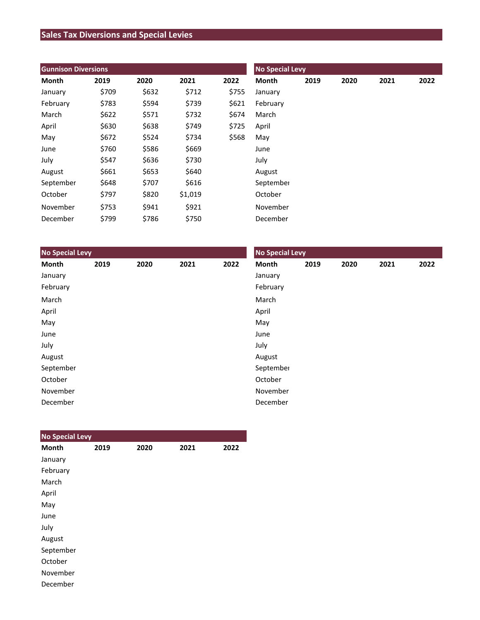## **Sales Tax Diversions and Special Levies**

| <b>Gunnison Diversions</b> |       |       |         |       | <b>No Special Levy</b> |      |      |      |      |  |
|----------------------------|-------|-------|---------|-------|------------------------|------|------|------|------|--|
| Month                      | 2019  | 2020  | 2021    | 2022  | Month                  | 2019 | 2020 | 2021 | 2022 |  |
| January                    | \$709 | \$632 | \$712   | \$755 | January                |      |      |      |      |  |
| February                   | \$783 | \$594 | \$739   | \$621 | February               |      |      |      |      |  |
| March                      | \$622 | \$571 | \$732   | \$674 | March                  |      |      |      |      |  |
| April                      | \$630 | \$638 | \$749   | \$725 | April                  |      |      |      |      |  |
| May                        | \$672 | \$524 | \$734   | \$568 | May                    |      |      |      |      |  |
| June                       | \$760 | \$586 | \$669   |       | June                   |      |      |      |      |  |
| July                       | \$547 | \$636 | \$730   |       | July                   |      |      |      |      |  |
| August                     | \$661 | \$653 | \$640   |       | August                 |      |      |      |      |  |
| September                  | \$648 | \$707 | \$616   |       | September              |      |      |      |      |  |
| October                    | \$797 | \$820 | \$1,019 |       | October                |      |      |      |      |  |
| November                   | \$753 | \$941 | \$921   |       | November               |      |      |      |      |  |
| December                   | \$799 | \$786 | \$750   |       | December               |      |      |      |      |  |

| <b>No Special Levy</b> |      |      |      |      | <b>No Special Levy</b> |      |      |      |      |  |
|------------------------|------|------|------|------|------------------------|------|------|------|------|--|
| Month                  | 2019 | 2020 | 2021 | 2022 | Month                  | 2019 | 2020 | 2021 | 2022 |  |
| January                |      |      |      |      | January                |      |      |      |      |  |
| February               |      |      |      |      | February               |      |      |      |      |  |
| March                  |      |      |      |      | March                  |      |      |      |      |  |
| April                  |      |      |      |      | April                  |      |      |      |      |  |
| May                    |      |      |      |      | May                    |      |      |      |      |  |
| June                   |      |      |      |      | June                   |      |      |      |      |  |
| July                   |      |      |      |      | July                   |      |      |      |      |  |
| August                 |      |      |      |      | August                 |      |      |      |      |  |
| September              |      |      |      |      | September              |      |      |      |      |  |
| October                |      |      |      |      | October                |      |      |      |      |  |
| November               |      |      |      |      | November               |      |      |      |      |  |
| December               |      |      |      |      | December               |      |      |      |      |  |

| <b>No Special Levy</b> |      |      |      |      |
|------------------------|------|------|------|------|
| <b>Month</b>           | 2019 | 2020 | 2021 | 2022 |
| January                |      |      |      |      |
| February               |      |      |      |      |
| March                  |      |      |      |      |
| April                  |      |      |      |      |
| May                    |      |      |      |      |
| June                   |      |      |      |      |
| July                   |      |      |      |      |
| August                 |      |      |      |      |
| September              |      |      |      |      |
| October                |      |      |      |      |
| November               |      |      |      |      |
| December               |      |      |      |      |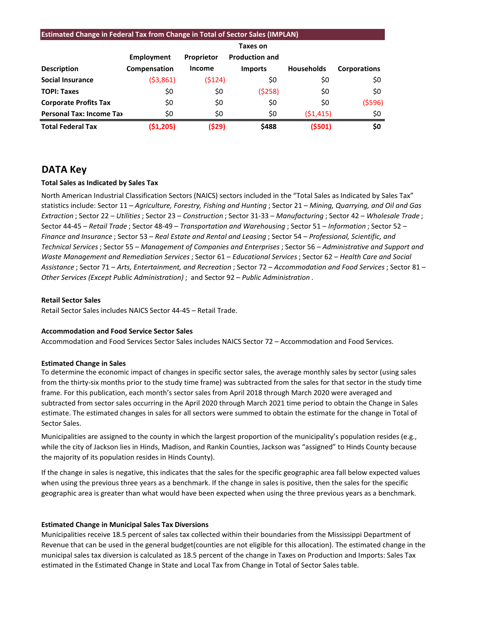| <b>Estimated Change in Federal Tax from Change in Total of Sector Sales (IMPLAN)</b> |              |               |                       |                   |                     |  |  |  |  |
|--------------------------------------------------------------------------------------|--------------|---------------|-----------------------|-------------------|---------------------|--|--|--|--|
|                                                                                      | Taxes on     |               |                       |                   |                     |  |  |  |  |
|                                                                                      | Employment   | Proprietor    | <b>Production and</b> |                   |                     |  |  |  |  |
| <b>Description</b>                                                                   | Compensation | <b>Income</b> | <b>Imports</b>        | <b>Households</b> | <b>Corporations</b> |  |  |  |  |
| <b>Social Insurance</b>                                                              | ( \$3,861)   | (5124)        | \$0                   | \$0               | \$0                 |  |  |  |  |
| <b>TOPI: Taxes</b>                                                                   | \$0          | \$0           | (5258)                | \$0               | \$0                 |  |  |  |  |
| <b>Corporate Profits Tax</b>                                                         | \$0          | \$0           | \$0                   | \$0               | (5596)              |  |  |  |  |
| <b>Personal Tax: Income Tax</b>                                                      | \$0          | \$0           | \$0                   | (51, 415)         | \$0                 |  |  |  |  |
| <b>Total Federal Tax</b>                                                             | (51,205)     | (\$29)        | \$488                 | (5501)            | \$0                 |  |  |  |  |

## **DATA Key**

### **Total Sales as Indicated by Sales Tax**

North American Industrial Classification Sectors (NAICS) sectors included in the "Total Sales as Indicated by Sales Tax" statistics include: Sector 11 – *Agriculture, Forestry, Fishing and Hunting* ; Sector 21 – *Mining, Quarrying, and Oil and Gas Extraction* ; Sector 22 – *Utilities*; Sector 23 – *Construction* ; Sector 31-33 – *Manufacturing* ; Sector 42 – *Wholesale Trade* ; Sector 44-45 – *Retail Trade* ; Sector 48-49 – *Transportation and Warehousing* ; Sector 51 – *Information* ; Sector 52 – *Finance and Insurance* ; Sector 53 – *Real Estate and Rental and Leasing* ; Sector 54 – *Professional, Scientific, and Technical Services*; Sector 55 – *Management of Companies and Enterprises* ; Sector 56 – *Administrative and Support and Waste Management and Remediation Services* ; Sector 61 – *Educational Services*; Sector 62 – *Health Care and Social Assistance* ; Sector 71 – *Arts, Entertainment, and Recreation* ; Sector 72 – *Accommodation and Food Services* ; Sector 81 – *Other Services (Except Public Administration)* ; and Sector 92 – *Public Administration* .

#### **Retail Sector Sales**

Retail Sector Sales includes NAICS Sector 44-45 – Retail Trade.

#### **Accommodation and Food Service Sector Sales**

Accommodation and Food Services Sector Sales includes NAICS Sector 72 – Accommodation and Food Services.

#### **Estimated Change in Sales**

To determine the economic impact of changes in specific sector sales, the average monthly sales by sector (using sales from the thirty-six months prior to the study time frame) was subtracted from the sales for that sector in the study time frame. For this publication, each month's sector sales from April 2018 through March 2020 were averaged and subtracted from sector sales occurring in the April 2020 through March 2021 time period to obtain the Change in Sales estimate. The estimated changes in sales for all sectors were summed to obtain the estimate for the change in Total of Sector Sales.

Municipalities are assigned to the county in which the largest proportion of the municipality's population resides (e.g., while the city of Jackson lies in Hinds, Madison, and Rankin Counties, Jackson was "assigned" to Hinds County because the majority of its population resides in Hinds County).

If the change in sales is negative, this indicates that the sales for the specific geographic area fall below expected values when using the previous three years as a benchmark. If the change in sales is positive, then the sales for the specific geographic area is greater than what would have been expected when using the three previous years as a benchmark.

#### **Estimated Change in Municipal Sales Tax Diversions**

Municipalities receive 18.5 percent of sales tax collected within their boundaries from the Mississippi Department of Revenue that can be used in the general budget(counties are not eligible for this allocation). The estimated change in the municipal sales tax diversion is calculated as 18.5 percent of the change in Taxes on Production and Imports: Sales Tax estimated in the Estimated Change in State and Local Tax from Change in Total of Sector Sales table.